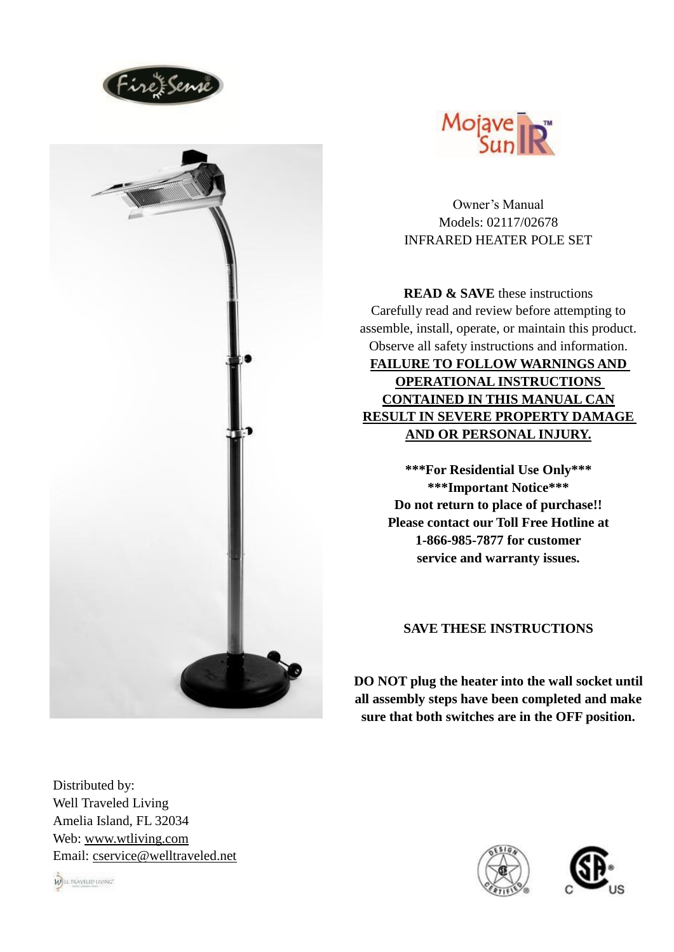





Owner's Manual Models: 02117/02678 INFRARED HEATER POLE SET

**READ & SAVE** these instructions Carefully read and review before attempting to assemble, install, operate, or maintain this product. Observe all safety instructions and information. **FAILURE TO FOLLOW WARNINGS AND OPERATIONAL INSTRUCTIONS CONTAINED IN THIS MANUAL CAN RESULT IN SEVERE PROPERTY DAMAGE AND OR PERSONAL INJURY.**

**\*\*\*For Residential Use Only\*\*\* \*\*\*Important Notice\*\*\* Do not return to place of purchase!! Please contact our Toll Free Hotline at 1-866-985-7877 for customer service and warranty issues.**

# **SAVE THESE INSTRUCTIONS**

**DO NOT plug the heater into the wall socket until all assembly steps have been completed and make sure that both switches are in the OFF position.**

Distributed by: Well Traveled Living Amelia Island, FL 32034 Web: [www.wtliving.com](http://www.wtliving.com/) Email: [cservice@welltraveled.net](mailto:cservice@welltraveled.net)





WELL TRAVELED LIVING"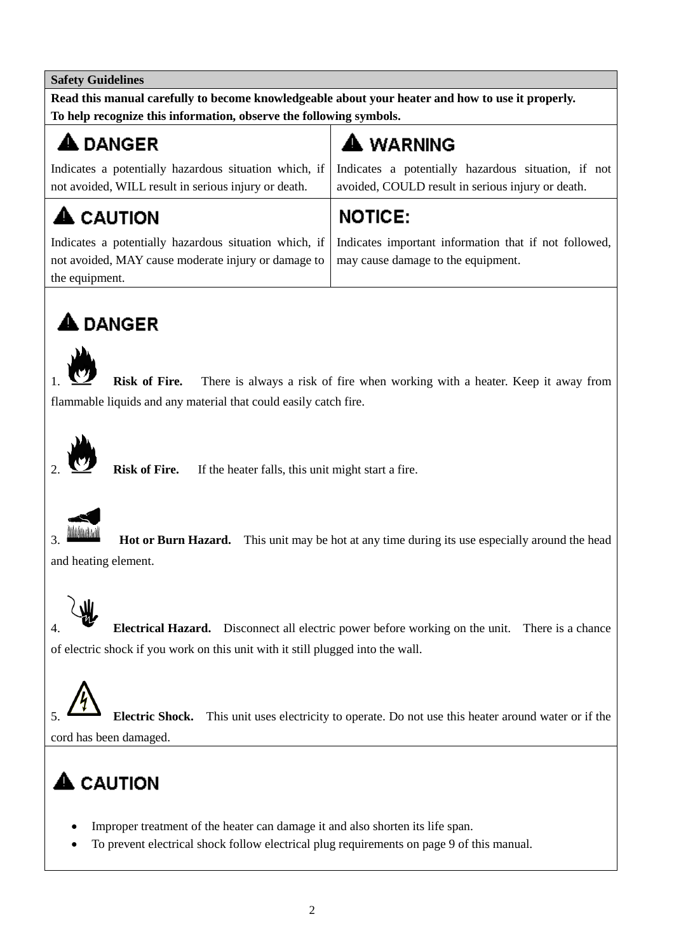# **Safety Guidelines**

**Read this manual carefully to become knowledgeable about your heater and how to use it properly. To help recognize this information, observe the following symbols.**

# **A** DANGER

**A** CAUTION

Indicates a potentially hazardous situation which, if not avoided, WILL result in serious injury or death.

# $\spadesuit$  WARNING

Indicates a potentially hazardous situation, if not avoided, COULD result in serious injury or death.

# **NOTICE:**

Indicates a potentially hazardous situation which, if not avoided, MAY cause moderate injury or damage to the equipment.

Indicates important information that if not followed, may cause damage to the equipment.

# $\spadesuit$  DANGER



1. **Risk of Fire.** There is always a risk of fire when working with a heater. Keep it away from flammable liquids and any material that could easily catch fire.



2. **Risk of Fire.** If the heater falls, this unit might start a fire.



**Hot or Burn Hazard.** This unit may be hot at any time during its use especially around the head and heating element.



4. **Electrical Hazard.** Disconnect all electric power before working on the unit. There is a chance of electric shock if you work on this unit with it still plugged into the wall.

5. **Electric Shock.** This unit uses electricity to operate. Do not use this heater around water or if the cord has been damaged.

# $\triangle$  CAUTION

- Improper treatment of the heater can damage it and also shorten its life span.
- To prevent electrical shock follow electrical plug requirements on page 9 of this manual.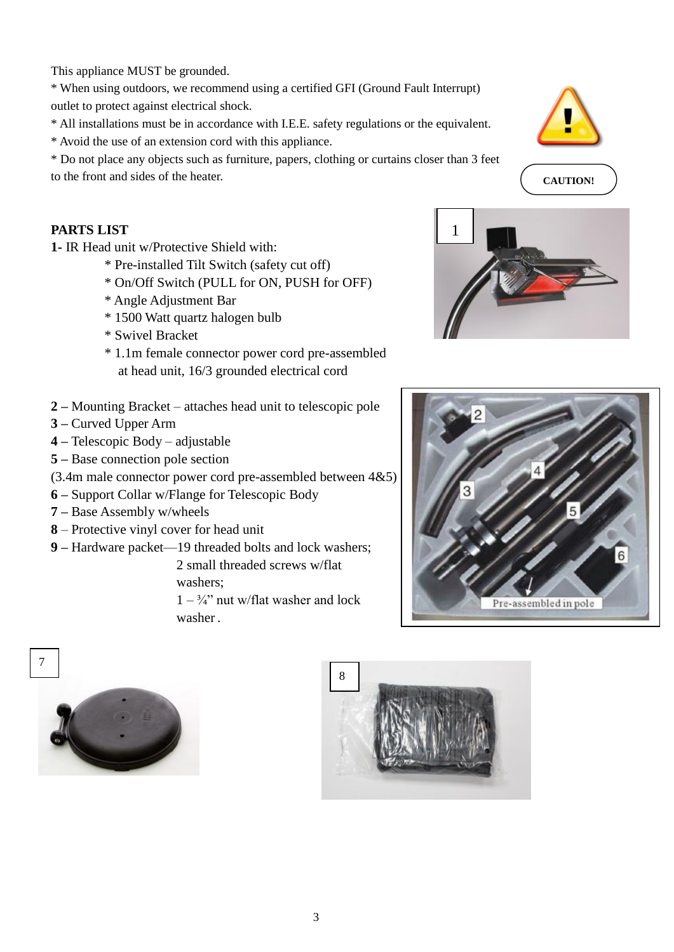This appliance MUST be grounded.

\* When using outdoors, we recommend using a certified GFI (Ground Fault Interrupt) outlet to protect against electrical shock.

\* All installations must be in accordance with I.E.E. safety regulations or the equivalent.

\* Avoid the use of an extension cord with this appliance.

\* Do not place any objects such as furniture, papers, clothing or curtains closer than 3 feet to the front and sides of the heater.

# **PARTS LIST**

**1-** IR Head unit w/Protective Shield with:

- \* Pre-installed Tilt Switch (safety cut off)
- \* On/Off Switch (PULL for ON, PUSH for OFF)
- \* Angle Adjustment Bar
- \* 1500 Watt quartz halogen bulb
- \* Swivel Bracket
- \* 1.1m female connector power cord pre-assembled at head unit, 16/3 grounded electrical cord
- **2 –** Mounting Bracket attaches head unit to telescopic pole
- **3 –** Curved Upper Arm
- **4 –** Telescopic Body adjustable
- **5 –** Base connection pole section
- (3.4m male connector power cord pre-assembled between 4&5)
- **6 –** Support Collar w/Flange for Telescopic Body
- **7 –** Base Assembly w/wheels
- **8** Protective vinyl cover for head unit
- **9 –** Hardware packet—19 threaded bolts and lock washers;

 2 small threaded screws w/flat washers;

 $1 - \frac{3}{4}$ " nut w/flat washer and lock washer .



**CAUTION!**







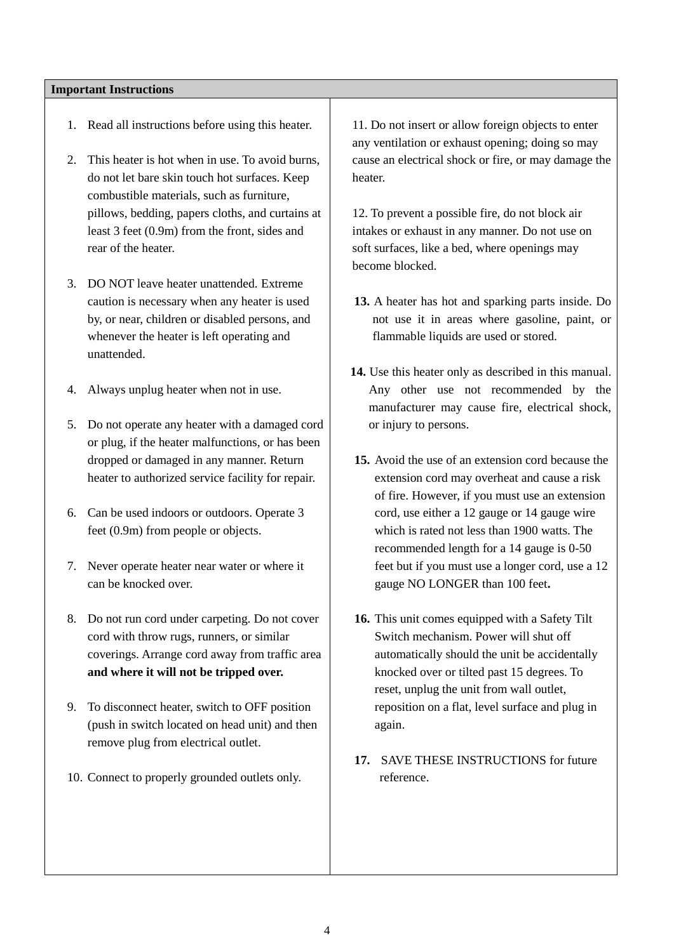### **Important Instructions**

- 1. Read all instructions before using this heater.
- 2. This heater is hot when in use. To avoid burns, do not let bare skin touch hot surfaces. Keep combustible materials, such as furniture, pillows, bedding, papers cloths, and curtains at least 3 feet (0.9m) from the front, sides and rear of the heater.
- 3. DO NOT leave heater unattended. Extreme caution is necessary when any heater is used by, or near, children or disabled persons, and whenever the heater is left operating and unattended.
- 4. Always unplug heater when not in use.
- 5. Do not operate any heater with a damaged cord or plug, if the heater malfunctions, or has been dropped or damaged in any manner. Return heater to authorized service facility for repair.
- 6. Can be used indoors or outdoors. Operate 3 feet (0.9m) from people or objects.
- 7. Never operate heater near water or where it can be knocked over.
- 8. Do not run cord under carpeting. Do not cover cord with throw rugs, runners, or similar coverings. Arrange cord away from traffic area **and where it will not be tripped over.**
- 9. To disconnect heater, switch to OFF position (push in switch located on head unit) and then remove plug from electrical outlet.
- 10. Connect to properly grounded outlets only.

11. Do not insert or allow foreign objects to enter any ventilation or exhaust opening; doing so may cause an electrical shock or fire, or may damage the heater.

12. To prevent a possible fire, do not block air intakes or exhaust in any manner. Do not use on soft surfaces, like a bed, where openings may become blocked.

- **13.** A heater has hot and sparking parts inside. Do not use it in areas where gasoline, paint, or flammable liquids are used or stored.
- **14.** Use this heater only as described in this manual. Any other use not recommended by the manufacturer may cause fire, electrical shock, or injury to persons.
- **15.** Avoid the use of an extension cord because the extension cord may overheat and cause a risk of fire. However, if you must use an extension cord, use either a 12 gauge or 14 gauge wire which is rated not less than 1900 watts. The recommended length for a 14 gauge is 0-50 feet but if you must use a longer cord, use a 12 gauge NO LONGER than 100 feet**.**
- **16.** This unit comes equipped with a Safety Tilt Switch mechanism. Power will shut off automatically should the unit be accidentally knocked over or tilted past 15 degrees. To reset, unplug the unit from wall outlet, reposition on a flat, level surface and plug in again.
- **17.** SAVE THESE INSTRUCTIONS for future reference.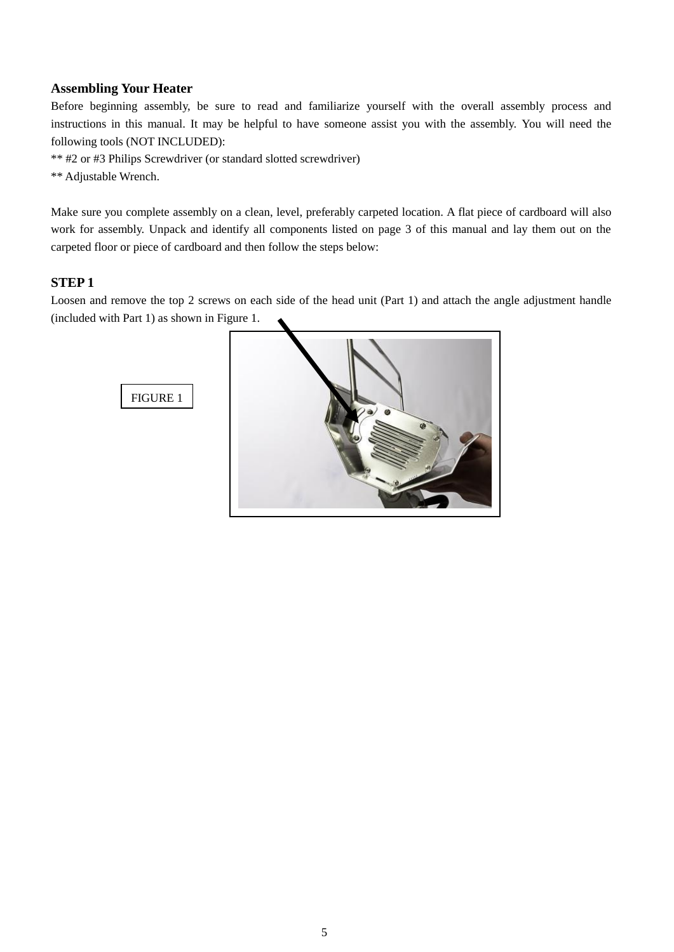### **Assembling Your Heater**

Before beginning assembly, be sure to read and familiarize yourself with the overall assembly process and instructions in this manual. It may be helpful to have someone assist you with the assembly. You will need the following tools (NOT INCLUDED):

\*\* #2 or #3 Philips Screwdriver (or standard slotted screwdriver)

\*\* Adjustable Wrench.

Make sure you complete assembly on a clean, level, preferably carpeted location. A flat piece of cardboard will also work for assembly. Unpack and identify all components listed on page 3 of this manual and lay them out on the carpeted floor or piece of cardboard and then follow the steps below:

### **STEP 1**

Loosen and remove the top 2 screws on each side of the head unit (Part 1) and attach the angle adjustment handle (included with Part 1) as shown in Figure 1.



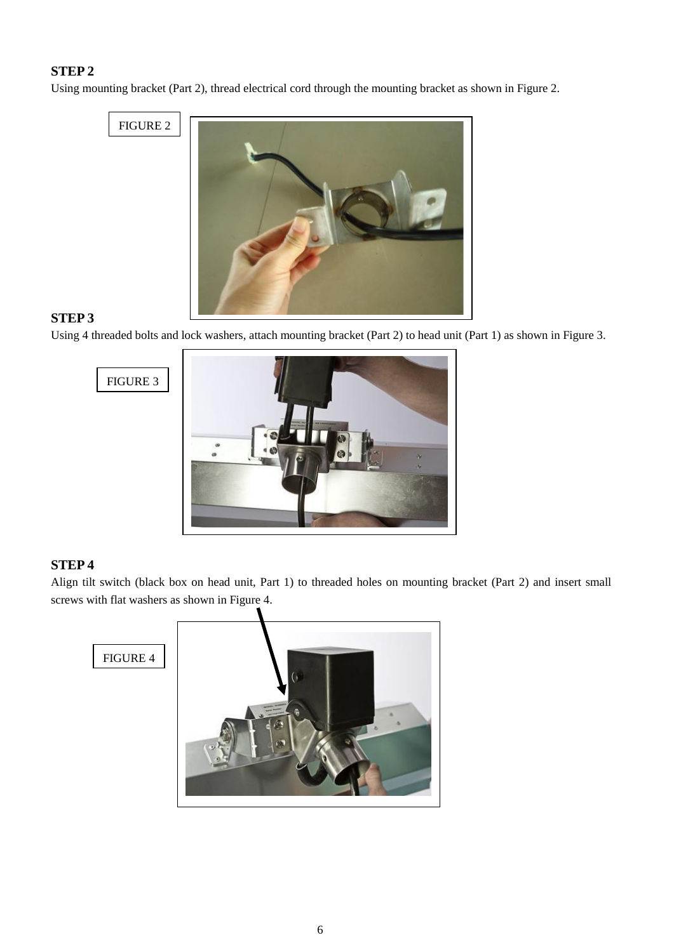# **STEP 2**

Using mounting bracket (Part 2), thread electrical cord through the mounting bracket as shown in Figure 2.

FIGURE 2



# **STEP 3**

Using 4 threaded bolts and lock washers, attach mounting bracket (Part 2) to head unit (Part 1) as shown in Figure 3.



# **STEP 4**

Align tilt switch (black box on head unit, Part 1) to threaded holes on mounting bracket (Part 2) and insert small screws with flat washers as shown in Figure 4.

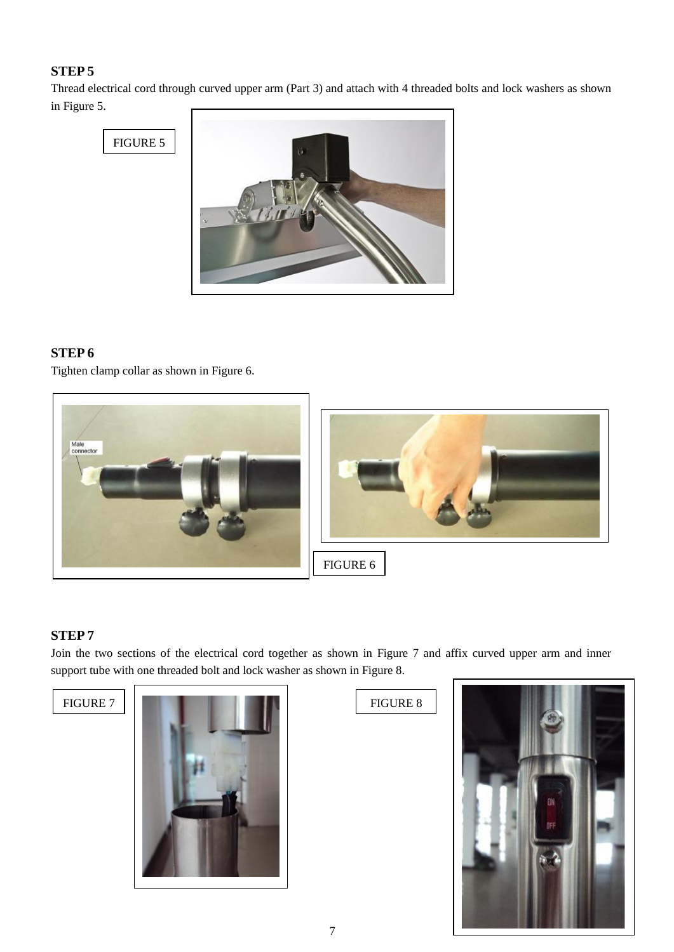# **STEP 5**

Thread electrical cord through curved upper arm (Part 3) and attach with 4 threaded bolts and lock washers as shown in Figure 5.



# **STEP 6**

Tighten clamp collar as shown in Figure 6.



# **STEP 7**

Join the two sections of the electrical cord together as shown in Figure 7 and affix curved upper arm and inner support tube with one threaded bolt and lock washer as shown in Figure 8.



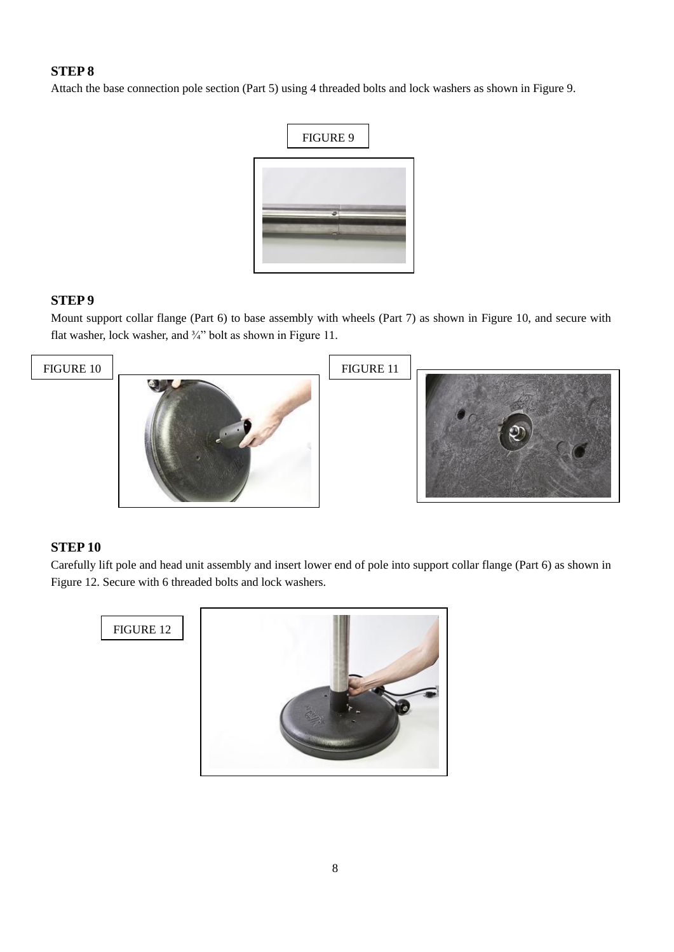# **STEP 8**

Attach the base connection pole section (Part 5) using 4 threaded bolts and lock washers as shown in Figure 9.



### **STEP 9**

Mount support collar flange (Part 6) to base assembly with wheels (Part 7) as shown in Figure 10, and secure with flat washer, lock washer, and  $\frac{3}{4}$ " bolt as shown in Figure 11.



### **STEP 10**

Carefully lift pole and head unit assembly and insert lower end of pole into support collar flange (Part 6) as shown in Figure 12. Secure with 6 threaded bolts and lock washers.

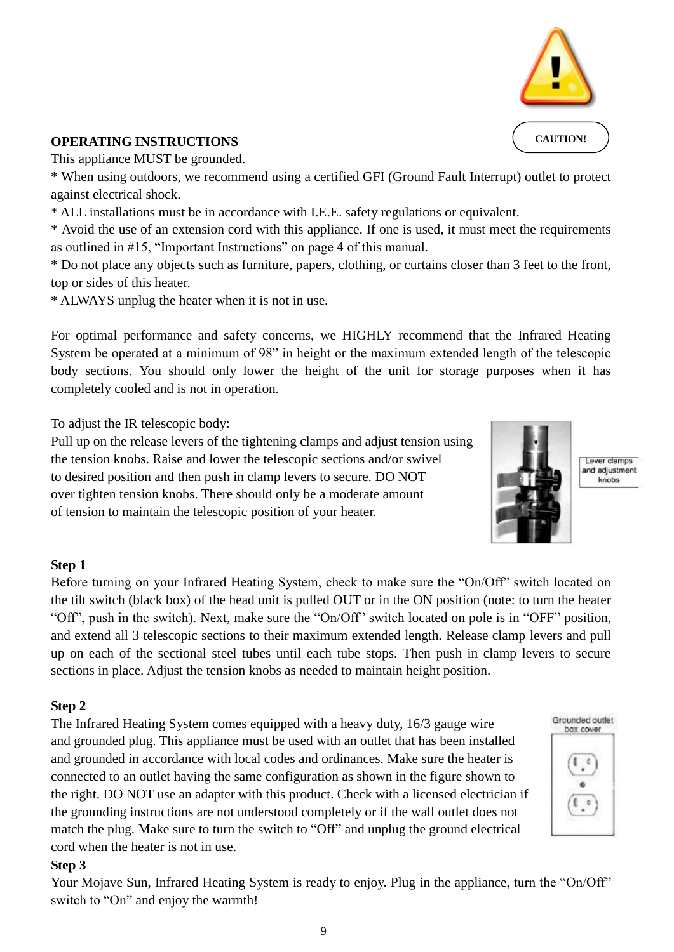

**OPERATING INSTRUCTIONS**  This appliance MUST be grounded.

\* When using outdoors, we recommend using a certified GFI (Ground Fault Interrupt) outlet to protect against electrical shock.

\* ALL installations must be in accordance with I.E.E. safety regulations or equivalent.

\* Avoid the use of an extension cord with this appliance. If one is used, it must meet the requirements as outlined in #15, "Important Instructions" on page 4 of this manual.

\* Do not place any objects such as furniture, papers, clothing, or curtains closer than 3 feet to the front, top or sides of this heater.

\* ALWAYS unplug the heater when it is not in use.

For optimal performance and safety concerns, we HIGHLY recommend that the Infrared Heating System be operated at a minimum of 98" in height or the maximum extended length of the telescopic body sections. You should only lower the height of the unit for storage purposes when it has completely cooled and is not in operation.

To adjust the IR telescopic body:

Pull up on the release levers of the tightening clamps and adjust tension using the tension knobs. Raise and lower the telescopic sections and/or swivel to desired position and then push in clamp levers to secure. DO NOT over tighten tension knobs. There should only be a moderate amount of tension to maintain the telescopic position of your heater.

### **Step 1**

Before turning on your Infrared Heating System, check to make sure the "On/Off" switch located on the tilt switch (black box) of the head unit is pulled OUT or in the ON position (note: to turn the heater "Off", push in the switch). Next, make sure the "On/Off" switch located on pole is in "OFF" position, and extend all 3 telescopic sections to their maximum extended length. Release clamp levers and pull up on each of the sectional steel tubes until each tube stops. Then push in clamp levers to secure sections in place. Adjust the tension knobs as needed to maintain height position.

### **Step 2**

The Infrared Heating System comes equipped with a heavy duty, 16/3 gauge wire and grounded plug. This appliance must be used with an outlet that has been installed and grounded in accordance with local codes and ordinances. Make sure the heater is connected to an outlet having the same configuration as shown in the figure shown to the right. DO NOT use an adapter with this product. Check with a licensed electrician if the grounding instructions are not understood completely or if the wall outlet does not match the plug. Make sure to turn the switch to "Off" and unplug the ground electrical cord when the heater is not in use.

### **Step 3**

Your Mojave Sun, Infrared Heating System is ready to enjoy. Plug in the appliance, turn the "On/Off" switch to "On" and enjoy the warmth!

9

Lever clamps and adjustment knobs







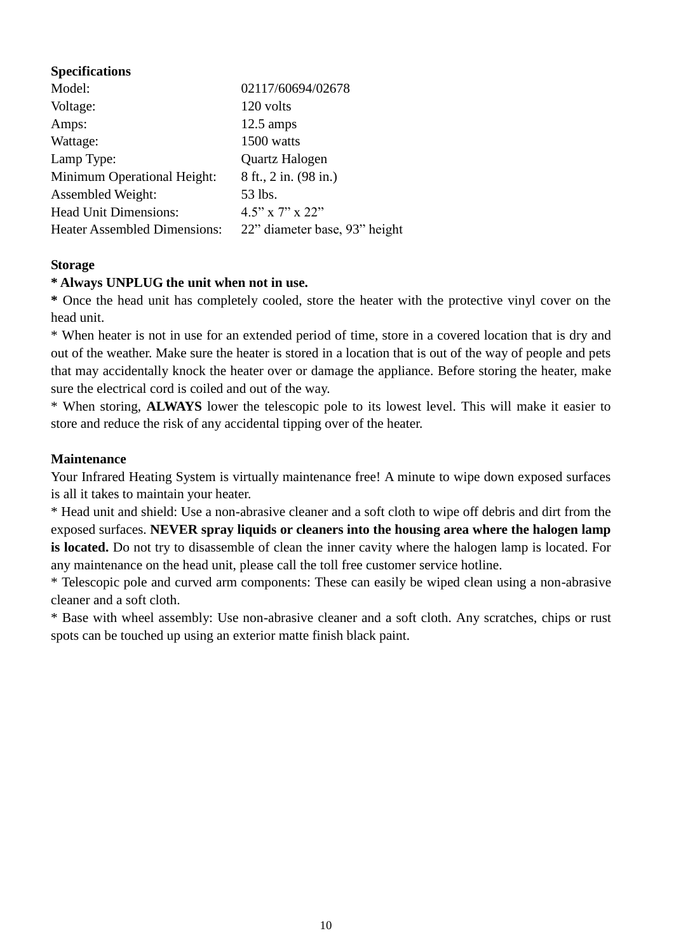# **Specifications**

| Model:                              | 02117/60694/02678             |
|-------------------------------------|-------------------------------|
| Voltage:                            | 120 volts                     |
| Amps:                               | $12.5 \text{ amps}$           |
| Wattage:                            | 1500 watts                    |
| Lamp Type:                          | Quartz Halogen                |
| Minimum Operational Height:         | 8 ft., 2 in. (98 in.)         |
| <b>Assembled Weight:</b>            | 53 lbs.                       |
| <b>Head Unit Dimensions:</b>        | $4.5$ " x 7" x 22"            |
| <b>Heater Assembled Dimensions:</b> | 22" diameter base, 93" height |

### **Storage**

### **\* Always UNPLUG the unit when not in use.**

**\*** Once the head unit has completely cooled, store the heater with the protective vinyl cover on the head unit.

\* When heater is not in use for an extended period of time, store in a covered location that is dry and out of the weather. Make sure the heater is stored in a location that is out of the way of people and pets that may accidentally knock the heater over or damage the appliance. Before storing the heater, make sure the electrical cord is coiled and out of the way.

\* When storing, **ALWAYS** lower the telescopic pole to its lowest level. This will make it easier to store and reduce the risk of any accidental tipping over of the heater.

### **Maintenance**

Your Infrared Heating System is virtually maintenance free! A minute to wipe down exposed surfaces is all it takes to maintain your heater.

\* Head unit and shield: Use a non-abrasive cleaner and a soft cloth to wipe off debris and dirt from the exposed surfaces. **NEVER spray liquids or cleaners into the housing area where the halogen lamp is located.** Do not try to disassemble of clean the inner cavity where the halogen lamp is located. For any maintenance on the head unit, please call the toll free customer service hotline.

\* Telescopic pole and curved arm components: These can easily be wiped clean using a non-abrasive cleaner and a soft cloth.

\* Base with wheel assembly: Use non-abrasive cleaner and a soft cloth. Any scratches, chips or rust spots can be touched up using an exterior matte finish black paint.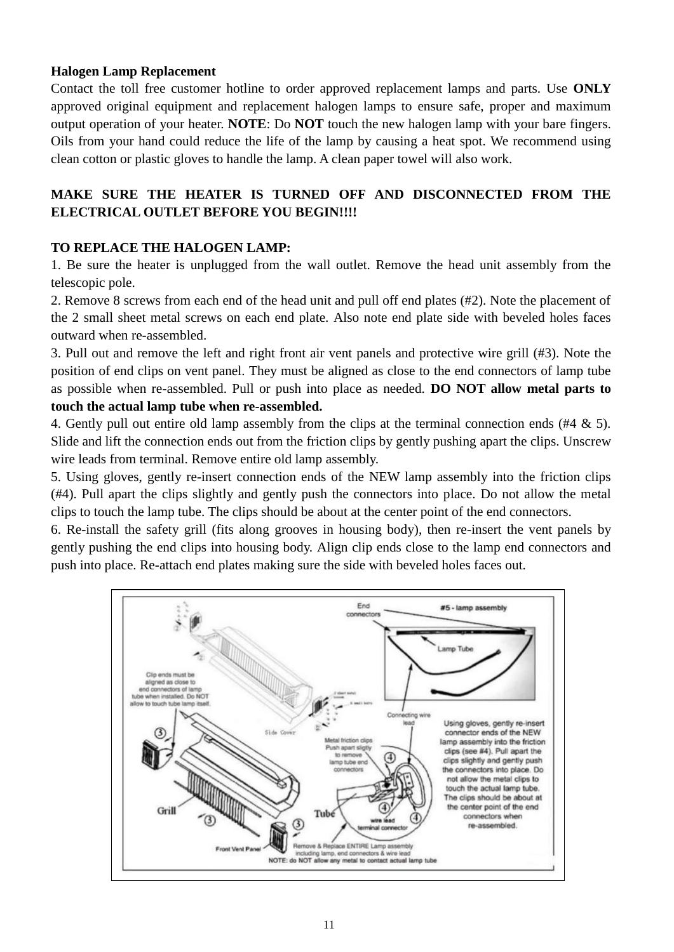# **Halogen Lamp Replacement**

Contact the toll free customer hotline to order approved replacement lamps and parts. Use **ONLY** approved original equipment and replacement halogen lamps to ensure safe, proper and maximum output operation of your heater. **NOTE**: Do **NOT** touch the new halogen lamp with your bare fingers. Oils from your hand could reduce the life of the lamp by causing a heat spot. We recommend using clean cotton or plastic gloves to handle the lamp. A clean paper towel will also work.

# **MAKE SURE THE HEATER IS TURNED OFF AND DISCONNECTED FROM THE ELECTRICAL OUTLET BEFORE YOU BEGIN!!!!**

# **TO REPLACE THE HALOGEN LAMP:**

1. Be sure the heater is unplugged from the wall outlet. Remove the head unit assembly from the telescopic pole.

2. Remove 8 screws from each end of the head unit and pull off end plates (#2). Note the placement of the 2 small sheet metal screws on each end plate. Also note end plate side with beveled holes faces outward when re-assembled.

3. Pull out and remove the left and right front air vent panels and protective wire grill (#3). Note the position of end clips on vent panel. They must be aligned as close to the end connectors of lamp tube as possible when re-assembled. Pull or push into place as needed. **DO NOT allow metal parts to touch the actual lamp tube when re-assembled.** 

4. Gently pull out entire old lamp assembly from the clips at the terminal connection ends (#4 & 5). Slide and lift the connection ends out from the friction clips by gently pushing apart the clips. Unscrew wire leads from terminal. Remove entire old lamp assembly.

5. Using gloves, gently re-insert connection ends of the NEW lamp assembly into the friction clips (#4). Pull apart the clips slightly and gently push the connectors into place. Do not allow the metal clips to touch the lamp tube. The clips should be about at the center point of the end connectors.

6. Re-install the safety grill (fits along grooves in housing body), then re-insert the vent panels by gently pushing the end clips into housing body. Align clip ends close to the lamp end connectors and push into place. Re-attach end plates making sure the side with beveled holes faces out.

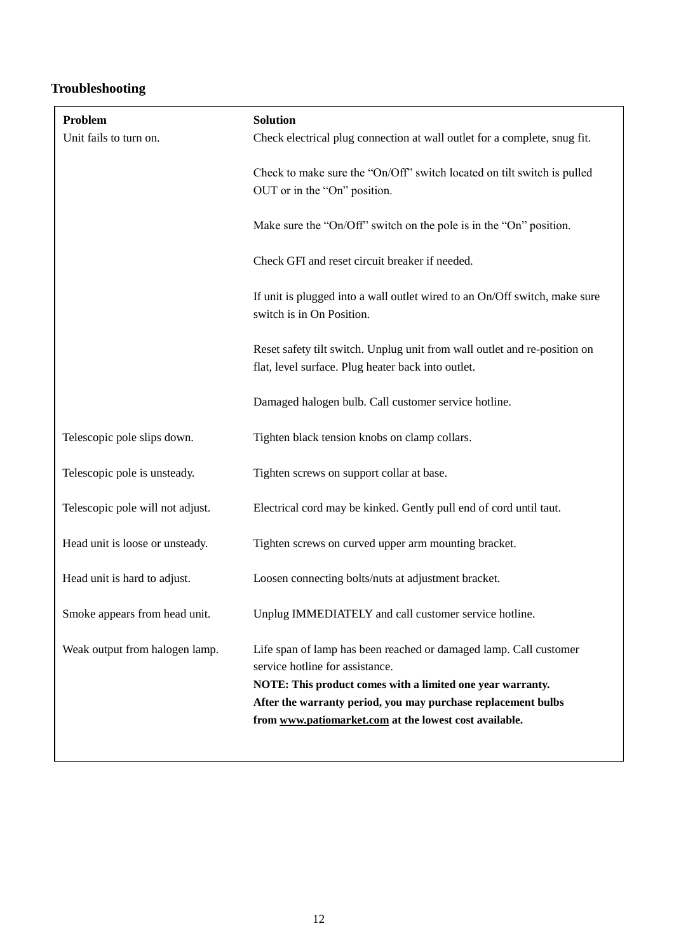# **Troubleshooting**

| Problem<br>Unit fails to turn on. | <b>Solution</b>                                                                                                                                                                                                                                                                               |
|-----------------------------------|-----------------------------------------------------------------------------------------------------------------------------------------------------------------------------------------------------------------------------------------------------------------------------------------------|
|                                   | Check electrical plug connection at wall outlet for a complete, snug fit.                                                                                                                                                                                                                     |
|                                   | Check to make sure the "On/Off" switch located on tilt switch is pulled<br>OUT or in the "On" position.                                                                                                                                                                                       |
|                                   | Make sure the "On/Off" switch on the pole is in the "On" position.                                                                                                                                                                                                                            |
|                                   | Check GFI and reset circuit breaker if needed.                                                                                                                                                                                                                                                |
|                                   | If unit is plugged into a wall outlet wired to an On/Off switch, make sure<br>switch is in On Position.                                                                                                                                                                                       |
|                                   | Reset safety tilt switch. Unplug unit from wall outlet and re-position on<br>flat, level surface. Plug heater back into outlet.                                                                                                                                                               |
|                                   | Damaged halogen bulb. Call customer service hotline.                                                                                                                                                                                                                                          |
| Telescopic pole slips down.       | Tighten black tension knobs on clamp collars.                                                                                                                                                                                                                                                 |
| Telescopic pole is unsteady.      | Tighten screws on support collar at base.                                                                                                                                                                                                                                                     |
| Telescopic pole will not adjust.  | Electrical cord may be kinked. Gently pull end of cord until taut.                                                                                                                                                                                                                            |
| Head unit is loose or unsteady.   | Tighten screws on curved upper arm mounting bracket.                                                                                                                                                                                                                                          |
| Head unit is hard to adjust.      | Loosen connecting bolts/nuts at adjustment bracket.                                                                                                                                                                                                                                           |
| Smoke appears from head unit.     | Unplug IMMEDIATELY and call customer service hotline.                                                                                                                                                                                                                                         |
| Weak output from halogen lamp.    | Life span of lamp has been reached or damaged lamp. Call customer<br>service hotline for assistance.<br>NOTE: This product comes with a limited one year warranty.<br>After the warranty period, you may purchase replacement bulbs<br>from www.patiomarket.com at the lowest cost available. |
|                                   |                                                                                                                                                                                                                                                                                               |